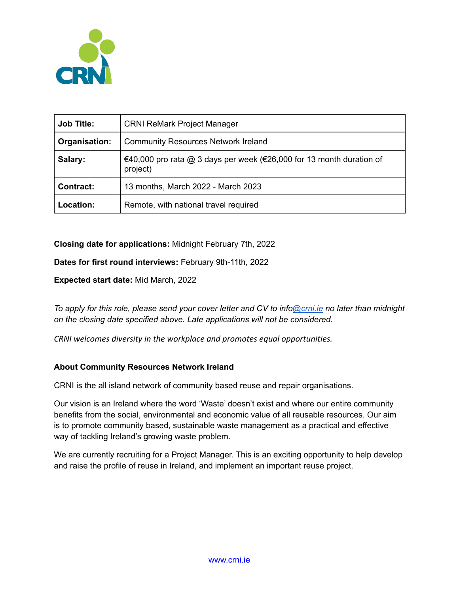

| <b>Job Title:</b> | <b>CRNI ReMark Project Manager</b>                                               |
|-------------------|----------------------------------------------------------------------------------|
| Organisation:     | <b>Community Resources Network Ireland</b>                                       |
| Salary:           | €40,000 pro rata @ 3 days per week (€26,000 for 13 month duration of<br>project) |
| <b>Contract:</b>  | 13 months, March 2022 - March 2023                                               |
| Location:         | Remote, with national travel required                                            |

# **Closing date for applications:** Midnight February 7th, 2022

**Dates for first round interviews:** February 9th-11th, 2022

**Expected start date:** Mid March, 2022

To apply for this role, please send your cover letter and CV to info[@crni.ie](mailto:mary@crni.ie) no later than midnight *on the closing date specified above. Late applications will not be considered.*

*CRNI welcomes diversity in the workplace and promotes equal opportunities.*

## **About Community Resources Network Ireland**

CRNI is the all island network of community based reuse and repair organisations.

Our vision is an Ireland where the word 'Waste' doesn't exist and where our entire community benefits from the social, environmental and economic value of all reusable resources. Our aim is to promote community based, sustainable waste management as a practical and effective way of tackling Ireland's growing waste problem.

We are currently recruiting for a Project Manager. This is an exciting opportunity to help develop and raise the profile of reuse in Ireland, and implement an important reuse project.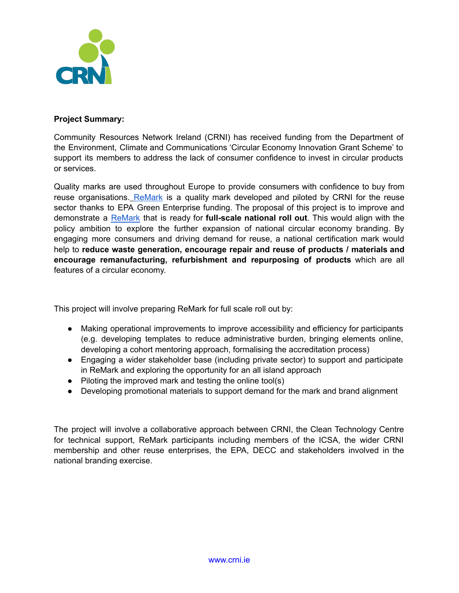

# **Project Summary:**

Community Resources Network Ireland (CRNI) has received funding from the Department of the Environment, Climate and Communications 'Circular Economy Innovation Grant Scheme' to support its members to address the lack of consumer confidence to invest in circular products or services.

Quality marks are used throughout Europe to provide consumers with confidence to buy from reuse organisations. ReMark is a quality mark developed and piloted by CRNI for the reuse sector thanks to EPA Green Enterprise funding. The proposal of this project is to improve and demonstrate a ReMark that is ready for **full-scale national roll out**. This would align with the policy ambition to explore the further expansion of national circular economy branding. By engaging more consumers and driving demand for reuse, a national certification mark would help to **reduce waste generation, encourage repair and reuse of products / materials and encourage remanufacturing, refurbishment and repurposing of products** which are all features of a circular economy.

This project will involve preparing ReMark for full scale roll out by:

- Making operational improvements to improve accessibility and efficiency for participants (e.g. developing templates to reduce administrative burden, bringing elements online, developing a cohort mentoring approach, formalising the accreditation process)
- Engaging a wider stakeholder base (including private sector) to support and participate in ReMark and exploring the opportunity for an all island approach
- Piloting the improved mark and testing the online tool(s)
- Developing promotional materials to support demand for the mark and brand alignment

The project will involve a collaborative approach between CRNI, the Clean Technology Centre for technical support, ReMark participants including members of the ICSA, the wider CRNI membership and other reuse enterprises, the EPA, DECC and stakeholders involved in the national branding exercise.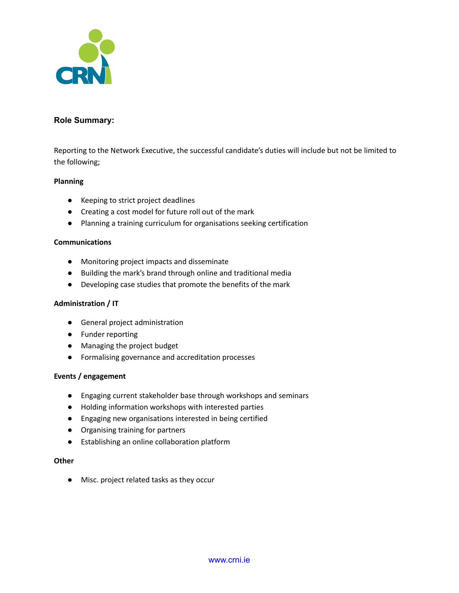

## **Role Summary:**

Reporting to the Network Executive, the successful candidate's duties will include but not be limited to the following;

### **Planning**

- Keeping to strict project deadlines
- Creating a cost model for future roll out of the mark
- Planning a training curriculum for organisations seeking certification

#### **Communications**

- Monitoring project impacts and disseminate
- Building the mark's brand through online and traditional media
- Developing case studies that promote the benefits of the mark

#### **Administration / IT**

- General project administration
- Funder reporting
- Managing the project budget
- Formalising governance and accreditation processes

#### **Events / engagement**

- Engaging current stakeholder base through workshops and seminars
- Holding information workshops with interested parties
- Engaging new organisations interested in being certified
- Organising training for partners
- Establishing an online collaboration platform

#### **Other**

● Misc. project related tasks as they occur